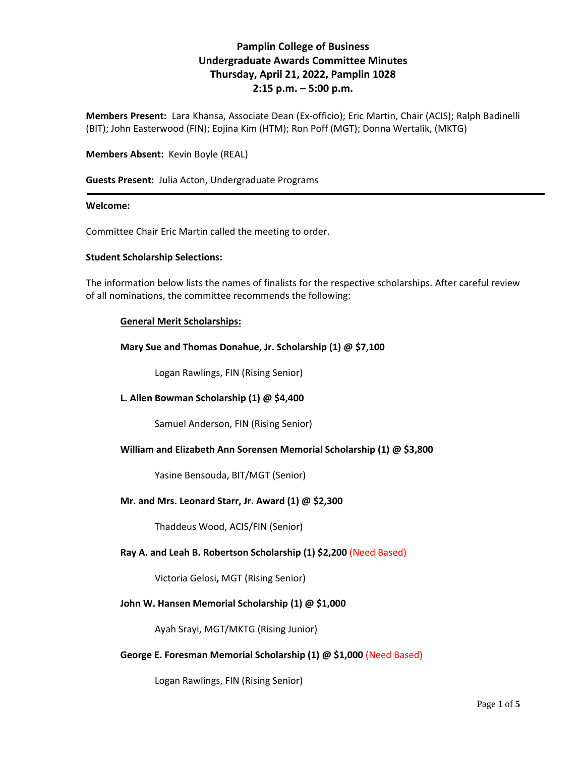# **Pamplin College of Business Undergraduate Awards Committee Minutes Thursday, April 21, 2022, Pamplin 1028 2:15 p.m. – 5:00 p.m.**

**Members Present:** Lara Khansa, Associate Dean (Ex-officio); Eric Martin, Chair (ACIS); Ralph Badinelli (BIT); John Easterwood (FIN); Eojina Kim (HTM); Ron Poff (MGT); Donna Wertalik, (MKTG)

### **Members Absent:** Kevin Boyle (REAL)

**Guests Present:** Julia Acton, Undergraduate Programs

#### **Welcome:**

Committee Chair Eric Martin called the meeting to order.

#### **Student Scholarship Selections:**

The information below lists the names of finalists for the respective scholarships. After careful review of all nominations, the committee recommends the following:

### **General Merit Scholarships:**

**Mary Sue and Thomas Donahue, Jr. Scholarship (1) @ \$7,100**

Logan Rawlings, FIN (Rising Senior)

#### **L. Allen Bowman Scholarship (1) @ \$4,400**

Samuel Anderson, FIN (Rising Senior)

#### **William and Elizabeth Ann Sorensen Memorial Scholarship (1) @ \$3,800**

Yasine Bensouda, BIT/MGT (Senior)

#### **Mr. and Mrs. Leonard Starr, Jr. Award (1) @ \$2,300**

Thaddeus Wood, ACIS/FIN (Senior)

#### **Ray A. and Leah B. Robertson Scholarship (1) \$2,200** (Need Based)

Victoria Gelosi**,** MGT (Rising Senior)

#### **John W. Hansen Memorial Scholarship (1) @ \$1,000**

Ayah Srayi, MGT/MKTG (Rising Junior)

#### **George E. Foresman Memorial Scholarship (1) @ \$1,000** (Need Based)

Logan Rawlings, FIN (Rising Senior)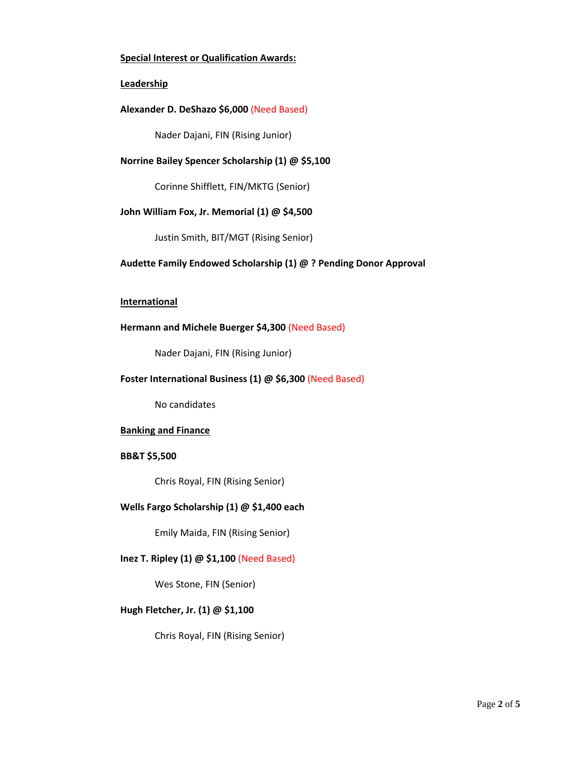### **Special Interest or Qualification Awards:**

### **Leadership**

### **Alexander D. DeShazo \$6,000** (Need Based)

Nader Dajani, FIN (Rising Junior)

### **Norrine Bailey Spencer Scholarship (1) @ \$5,100**

Corinne Shifflett, FIN/MKTG (Senior)

### **John William Fox, Jr. Memorial (1) @ \$4,500**

Justin Smith, BIT/MGT (Rising Senior)

# **Audette Family Endowed Scholarship (1) @ ? Pending Donor Approval**

#### **International**

### **Hermann and Michele Buerger \$4,300** (Need Based)

Nader Dajani, FIN (Rising Junior)

## **Foster International Business (1) @ \$6,300** (Need Based)

No candidates

#### **Banking and Finance**

#### **BB&T \$5,500**

Chris Royal, FIN (Rising Senior)

#### **Wells Fargo Scholarship (1) @ \$1,400 each**

Emily Maida, FIN (Rising Senior)

### **Inez T. Ripley (1) @ \$1,100** (Need Based)

Wes Stone, FIN (Senior)

# **Hugh Fletcher, Jr. (1) @ \$1,100**

Chris Royal, FIN (Rising Senior)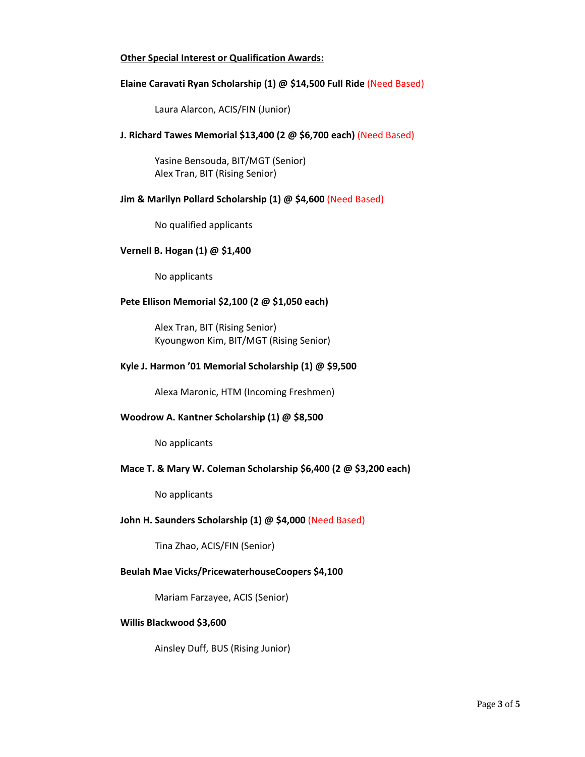### **Other Special Interest or Qualification Awards:**

### **Elaine Caravati Ryan Scholarship (1) @ \$14,500 Full Ride** (Need Based)

Laura Alarcon, ACIS/FIN (Junior)

### **J. Richard Tawes Memorial \$13,400 (2 @ \$6,700 each)** (Need Based)

Yasine Bensouda, BIT/MGT (Senior) Alex Tran, BIT (Rising Senior)

### **Jim & Marilyn Pollard Scholarship (1) @ \$4,600** (Need Based)

No qualified applicants

#### **Vernell B. Hogan (1) @ \$1,400**

No applicants

# **Pete Ellison Memorial \$2,100 (2 @ \$1,050 each)**

Alex Tran, BIT (Rising Senior) Kyoungwon Kim, BIT/MGT (Rising Senior)

#### **Kyle J. Harmon '01 Memorial Scholarship (1) @ \$9,500**

Alexa Maronic, HTM (Incoming Freshmen)

#### **Woodrow A. Kantner Scholarship (1) @ \$8,500**

No applicants

#### **Mace T. & Mary W. Coleman Scholarship \$6,400 (2 @ \$3,200 each)**

No applicants

#### **John H. Saunders Scholarship (1) @ \$4,000** (Need Based)

Tina Zhao, ACIS/FIN (Senior)

#### **Beulah Mae Vicks/PricewaterhouseCoopers \$4,100**

Mariam Farzayee, ACIS (Senior)

#### **Willis Blackwood \$3,600**

Ainsley Duff, BUS (Rising Junior)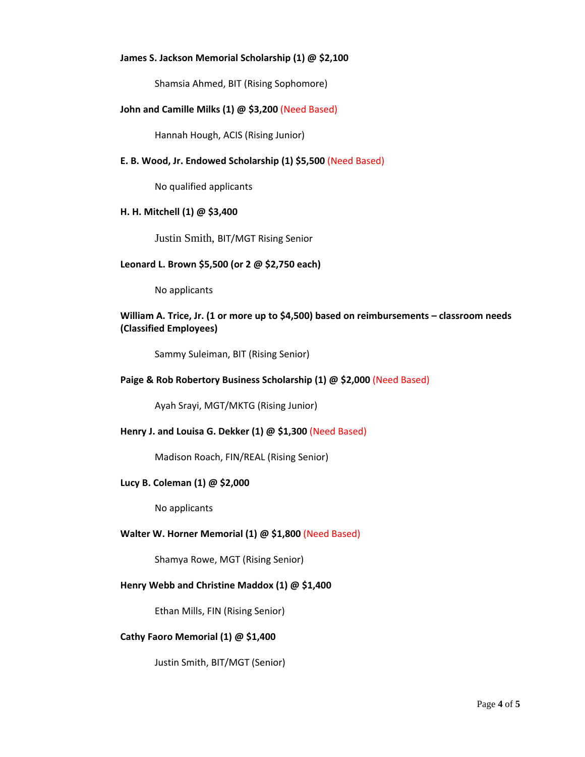### **James S. Jackson Memorial Scholarship (1) @ \$2,100**

Shamsia Ahmed, BIT (Rising Sophomore)

### **John and Camille Milks (1) @ \$3,200** (Need Based)

Hannah Hough, ACIS (Rising Junior)

### **E. B. Wood, Jr. Endowed Scholarship (1) \$5,500** (Need Based)

No qualified applicants

### **H. H. Mitchell (1) @ \$3,400**

Justin Smith, BIT/MGT Rising Senior

#### **Leonard L. Brown \$5,500 (or 2 @ \$2,750 each)**

No applicants

# **William A. Trice, Jr. (1 or more up to \$4,500) based on reimbursements – classroom needs (Classified Employees)**

Sammy Suleiman, BIT (Rising Senior)

### **Paige & Rob Robertory Business Scholarship (1) @ \$2,000** (Need Based)

Ayah Srayi, MGT/MKTG (Rising Junior)

#### **Henry J. and Louisa G. Dekker (1) @ \$1,300** (Need Based)

Madison Roach, FIN/REAL (Rising Senior)

#### **Lucy B. Coleman (1) @ \$2,000**

No applicants

#### **Walter W. Horner Memorial (1) @ \$1,800** (Need Based)

Shamya Rowe, MGT (Rising Senior)

#### **Henry Webb and Christine Maddox (1) @ \$1,400**

Ethan Mills, FIN (Rising Senior)

### **Cathy Faoro Memorial (1) @ \$1,400**

Justin Smith, BIT/MGT (Senior)